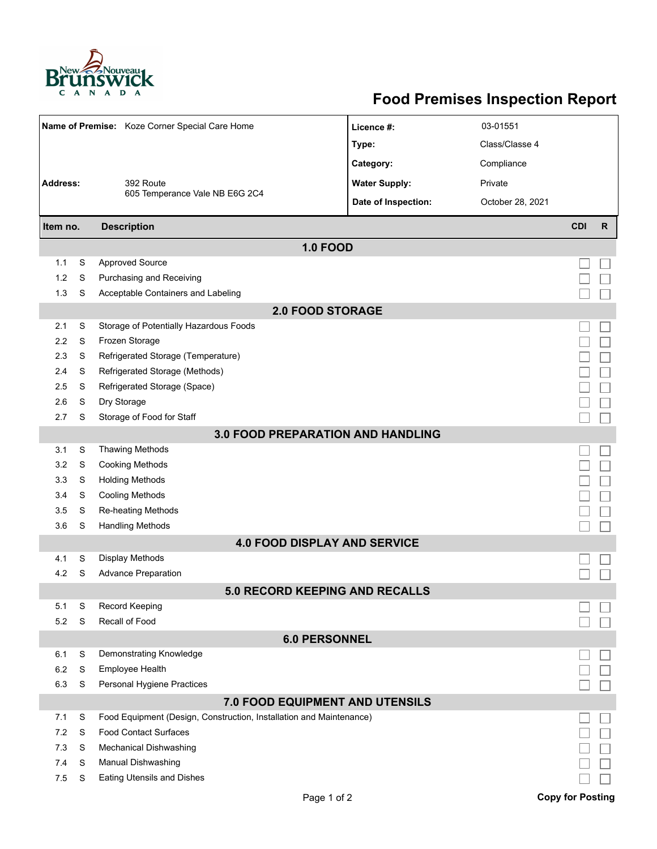

## **Food Premises Inspection Report**

| Name of Premise: Koze Corner Special Care Home |   |                                                                     | Licence #:                            | 03-01551         |                         |   |  |  |  |  |
|------------------------------------------------|---|---------------------------------------------------------------------|---------------------------------------|------------------|-------------------------|---|--|--|--|--|
|                                                |   |                                                                     | Type:                                 | Class/Classe 4   |                         |   |  |  |  |  |
|                                                |   |                                                                     | Category:                             | Compliance       |                         |   |  |  |  |  |
| <b>Address:</b><br>392 Route                   |   |                                                                     | <b>Water Supply:</b>                  | Private          |                         |   |  |  |  |  |
|                                                |   | 605 Temperance Vale NB E6G 2C4                                      | Date of Inspection:                   | October 28, 2021 |                         |   |  |  |  |  |
|                                                |   |                                                                     |                                       |                  |                         |   |  |  |  |  |
| <b>Description</b><br>Item no.                 |   |                                                                     |                                       |                  | <b>CDI</b>              | R |  |  |  |  |
|                                                |   |                                                                     | <b>1.0 FOOD</b>                       |                  |                         |   |  |  |  |  |
| 1.1                                            | S | <b>Approved Source</b>                                              |                                       |                  |                         |   |  |  |  |  |
| 1.2                                            | S | Purchasing and Receiving                                            |                                       |                  |                         |   |  |  |  |  |
| 1.3                                            | S | Acceptable Containers and Labeling                                  |                                       |                  |                         |   |  |  |  |  |
| <b>2.0 FOOD STORAGE</b>                        |   |                                                                     |                                       |                  |                         |   |  |  |  |  |
| 2.1                                            | S | Storage of Potentially Hazardous Foods                              |                                       |                  |                         |   |  |  |  |  |
| 2.2                                            | S | Frozen Storage                                                      |                                       |                  |                         |   |  |  |  |  |
| 2.3                                            | S | Refrigerated Storage (Temperature)                                  |                                       |                  |                         |   |  |  |  |  |
| 2.4                                            | S | Refrigerated Storage (Methods)                                      |                                       |                  |                         |   |  |  |  |  |
| 2.5                                            | S | Refrigerated Storage (Space)                                        |                                       |                  |                         |   |  |  |  |  |
| 2.6                                            | S | Dry Storage                                                         |                                       |                  |                         |   |  |  |  |  |
| 2.7                                            | S | Storage of Food for Staff                                           |                                       |                  |                         |   |  |  |  |  |
| <b>3.0 FOOD PREPARATION AND HANDLING</b>       |   |                                                                     |                                       |                  |                         |   |  |  |  |  |
| 3.1                                            | S | <b>Thawing Methods</b>                                              |                                       |                  |                         |   |  |  |  |  |
| 3.2                                            | S | <b>Cooking Methods</b>                                              |                                       |                  |                         |   |  |  |  |  |
| 3.3                                            | S | <b>Holding Methods</b>                                              |                                       |                  |                         |   |  |  |  |  |
| 3.4                                            | S | <b>Cooling Methods</b>                                              |                                       |                  |                         |   |  |  |  |  |
| 3.5                                            | S | Re-heating Methods                                                  |                                       |                  |                         |   |  |  |  |  |
| 3.6                                            | S | <b>Handling Methods</b>                                             |                                       |                  |                         |   |  |  |  |  |
| <b>4.0 FOOD DISPLAY AND SERVICE</b>            |   |                                                                     |                                       |                  |                         |   |  |  |  |  |
| 4.1                                            | S | <b>Display Methods</b>                                              |                                       |                  |                         |   |  |  |  |  |
| 4.2                                            | S | <b>Advance Preparation</b>                                          |                                       |                  |                         |   |  |  |  |  |
|                                                |   |                                                                     | <b>5.0 RECORD KEEPING AND RECALLS</b> |                  |                         |   |  |  |  |  |
| 5.1                                            | S | Record Keeping                                                      |                                       |                  |                         |   |  |  |  |  |
| 5.2                                            | S | Recall of Food                                                      |                                       |                  |                         |   |  |  |  |  |
|                                                |   |                                                                     | <b>6.0 PERSONNEL</b>                  |                  |                         |   |  |  |  |  |
| 6.1                                            | S | Demonstrating Knowledge                                             |                                       |                  |                         |   |  |  |  |  |
| 6.2                                            | S | Employee Health                                                     |                                       |                  |                         |   |  |  |  |  |
| 6.3                                            | S | Personal Hygiene Practices                                          |                                       |                  |                         |   |  |  |  |  |
|                                                |   |                                                                     | 7.0 FOOD EQUIPMENT AND UTENSILS       |                  |                         |   |  |  |  |  |
| 7.1                                            | S | Food Equipment (Design, Construction, Installation and Maintenance) |                                       |                  |                         |   |  |  |  |  |
| 7.2                                            | S | <b>Food Contact Surfaces</b>                                        |                                       |                  |                         |   |  |  |  |  |
| 7.3                                            | S | <b>Mechanical Dishwashing</b>                                       |                                       |                  |                         |   |  |  |  |  |
| 7.4                                            | S | Manual Dishwashing                                                  |                                       |                  |                         |   |  |  |  |  |
| 7.5                                            | S | <b>Eating Utensils and Dishes</b>                                   |                                       |                  |                         |   |  |  |  |  |
|                                                |   |                                                                     | Page 1 of 2                           |                  | <b>Copy for Posting</b> |   |  |  |  |  |